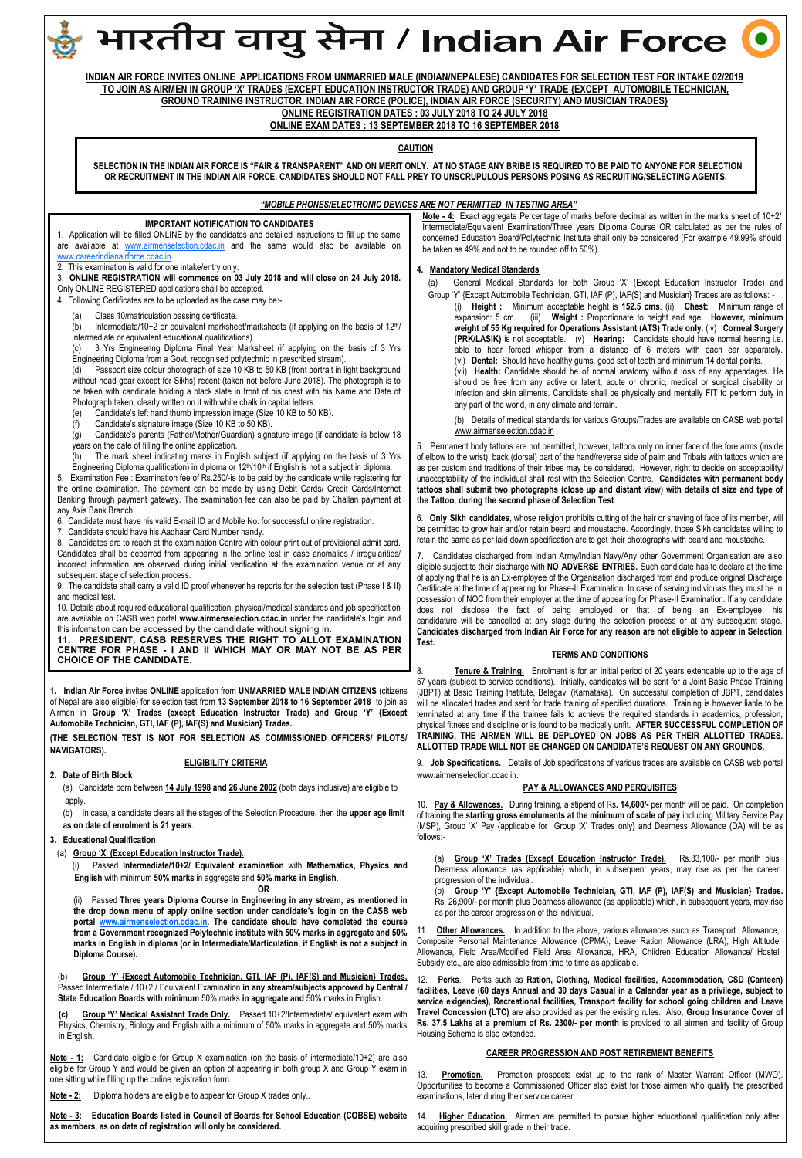

Passed Intermediate / 10+2 / Equivalent Examination **in any stream/subjects approved by Central / State Education Boards with minimum** 50% marks **in aggregate and** 50% marks in English.

**(c) Group "Y" Medical Assistant Trade Only.** Passed 10+2/Intermediate/ equivalent exam with Physics, Chemistry, Biology and English with a minimum of 50% marks in aggregate and 50% marks in English.

**Note - 1:** Candidate eligible for Group X examination (on the basis of intermediate/10+2) are also eligible for Group Y and would be given an option of appearing in both group X and Group Y exam in one sitting while filling up the online registration form.

**Note - 2:** Diploma holders are eligible to appear for Group X trades only..

**Note - 3: Education Boards listed in Council of Boards for School Education (COBSE) website as members, as on date of registration will only be considered.** 

**CAREER PROGRESSION AND POST RETIREMENT BENEFITS**

**service exigencies), Recreational facilities, Transport facility for school going children and Leave Travel Concession (LTC)** are also provided as per the existing rules. Also, **Group Insurance Cover of Rs. 37.5 Lakhs at a premium of Rs. 2300/- per month** is provided to all airmen and facility of Group

Housing Scheme is also extended.

13. **Promotion.** Promotion prospects exist up to the rank of Master Warrant Officer (MWO). Opportunities to become a Commissioned Officer also exist for those airmen who qualify the prescribed examinations, later during their service career.

14. **Higher Education.** Airmen are permitted to pursue higher educational qualification only after acquiring prescribed skill grade in their trade.